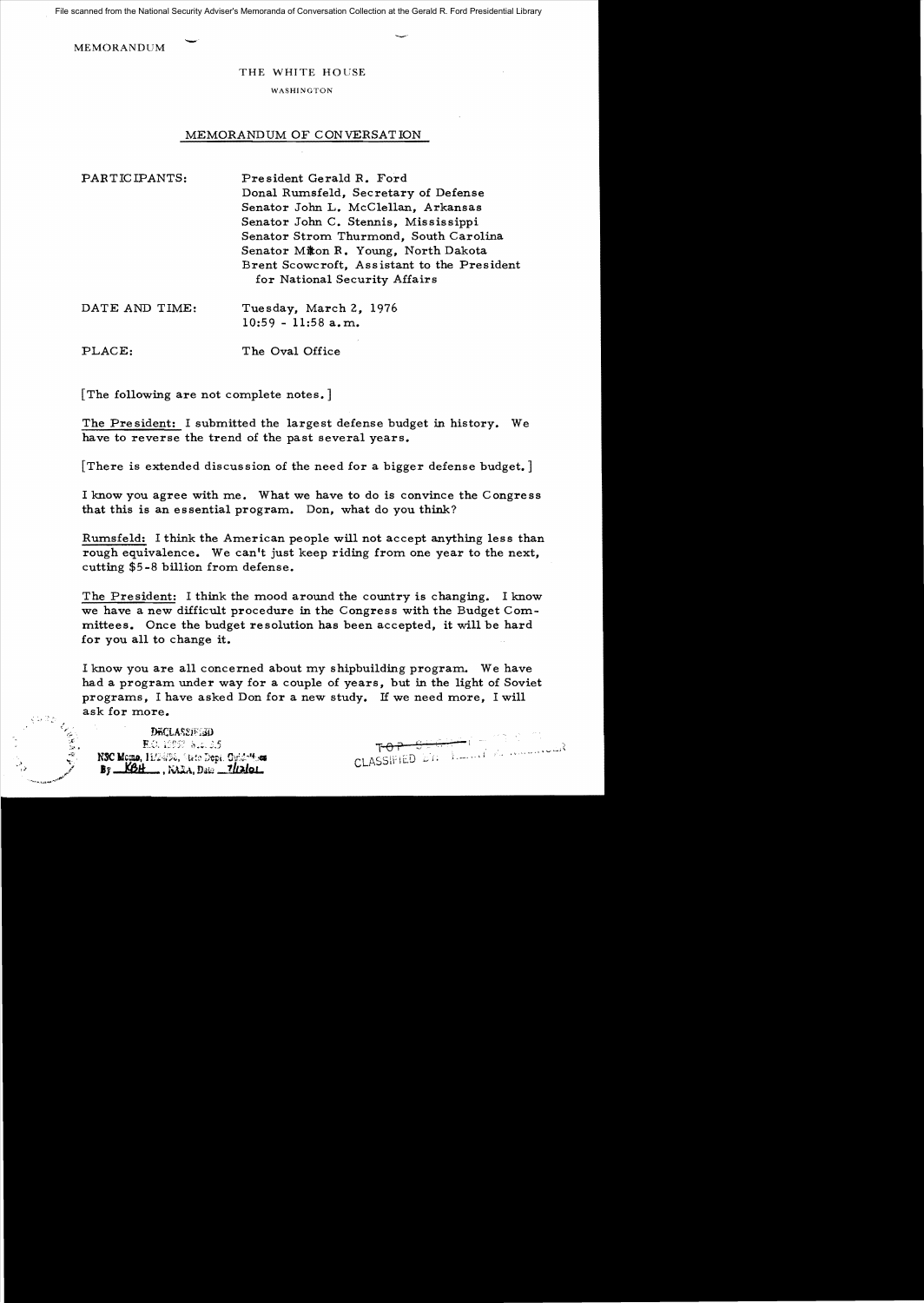File scanned from the National Security Adviser's Memoranda of Conversation Collection at the Gerald R. Ford Presidential Library

**MEMORANDUM** 

## THE WHITE HOUSE

## **WASHINGTON**

## MEMORANDUM OF CONVERSATION

| PARTICIPANTS: | President Gerald R. Ford                    |
|---------------|---------------------------------------------|
|               | Donal Rumsfeld, Secretary of Defense        |
|               | Senator John L. McClellan, Arkansas         |
|               | Senator John C. Stennis, Mississippi        |
|               | Senator Strom Thurmond, South Carolina      |
|               | Senator Miton R. Young, North Dakota        |
|               | Brent Scowcroft, Assistant to the President |
|               | for National Security Affairs               |
|               |                                             |

| DATE AND TIME: | Tuesday, March 2, 1976 |
|----------------|------------------------|
|                | $10:59 - 11:58$ a.m.   |

PLACE: The Oval Office

[The following are not complete notes.]

The President: I submitted the largest defense budget in history. We have to reverse the trend of the past several years.

[There is extended discussion of the need for a bigger defense budget. ]

I know you agree with me. What we have to do is convince the Congress that this is an essential program.. Don, what do you think?

Rumsfeld: I think the American people will not accept anything less than rough equivalence. We can't just keep riding from one year to the next. cutting \$5-8 billion from defense.

The President: I think the mood around the country is changing. I know we have a new difficult procedure in the Congress with the Budget Com. mittees. Once the budget resolution has been accepted, it will be hard for you all to change it.

I know you are all concerned about my shipbuilding program. We have had a program under way for a couple of years, but in the light of Soviet programs, I have asked Don for a new study. If we need more, I will ask for more.

**DECLASSIFIED** E.O. 19957 N.G. 3.5 NSC Momo, 11/24/58, State Dept. Guidattions  $By = KBH$ , KAZA, Data 1/2/01

ᠮ᠊᠌ᡃᠦᢪ᠆ᡦ CLASSIE II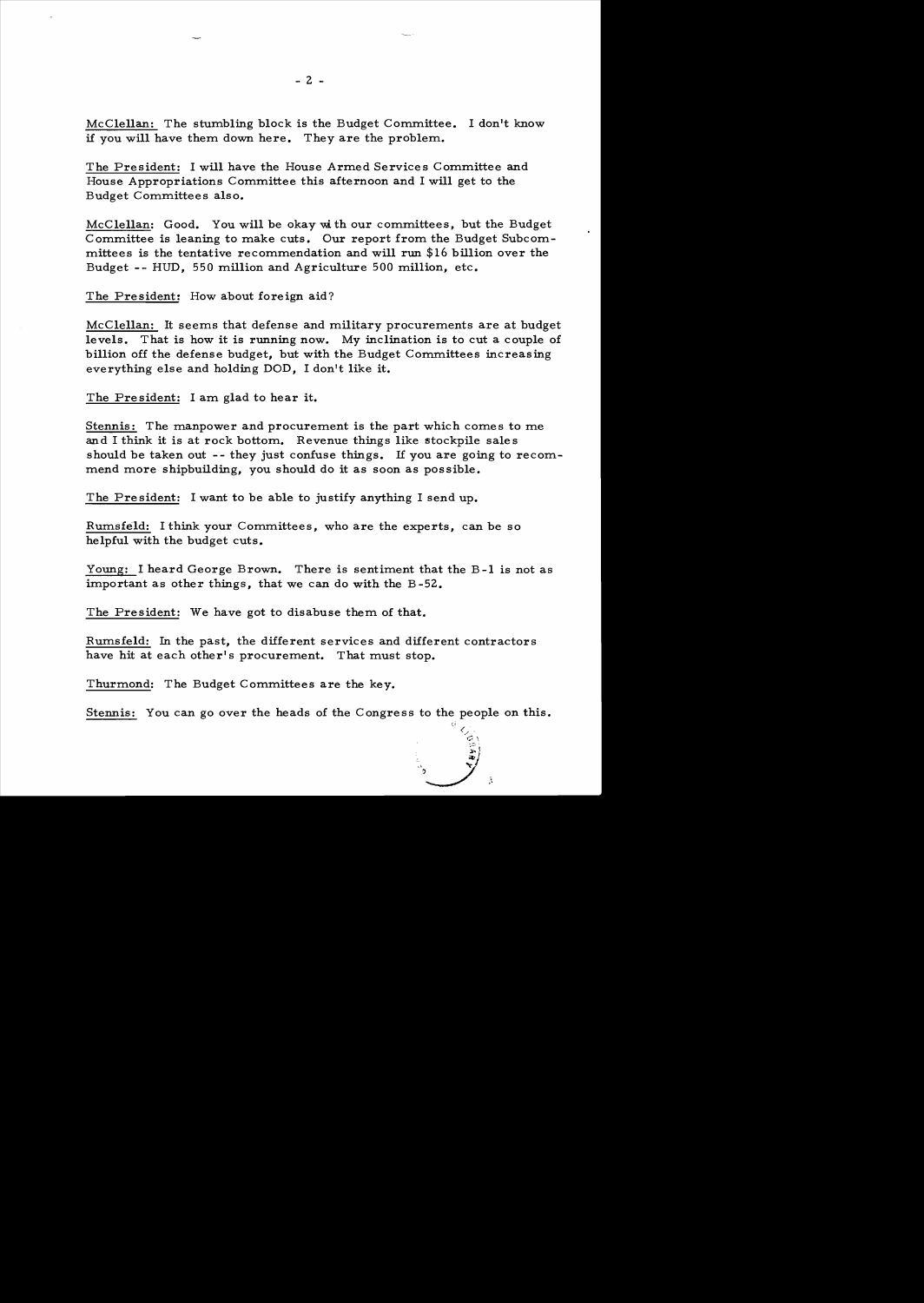McClellan: The stumbling block is the Budget Committee. I don't know if you will have them down here. They are the problem.

The President: I will have the House Armed Services Committee and House Appropriations Committee this afternoon and I will get to the Budget Committees also.

McClellan: Good. You will be okay with our committees, but the Budget Committee is leaning to make cuts. Our report from the Budget Subcommittees is the tentative recommendation and will run \$16 billion over the Budget -- BUD, 550 million and Agriculture 500 million, etc.

The President: How about foreign aid?

McClellan: It seems that defense and military procurements are at budget levels. That is how it is running now. My inclination is to cut a couple of billion off the defense budget, but with the Budget Committees increasing everything else and holding DOD, I don't like it.

The President: I am glad to hear it.

Stennis: The manpower and procurement is the part which comes to me and I think it is at rock bottom. Revenue things like stockpile sale s should be taken out -- they just confuse things. If you are going to recommend more shipbuilding, you should do it as soon as possible.

The President: I want to be able to justify anything I send up.

Rumsfeld: I think your Committees, who are the experts, can be so helpful with the budget cuts.

Young: I heard George Brown. There is sentiment that the B-1 is not as important as other things, that we can do with the B -52.

The President: We have got to disabuse them of that.

Rumsfeld: In the past, the different services and different contractors have hit at each other's procurement. That must stop.

Thurmond: The Budget Committees are the key.

Stennis: You can go over the heads of the Congress to the people on this.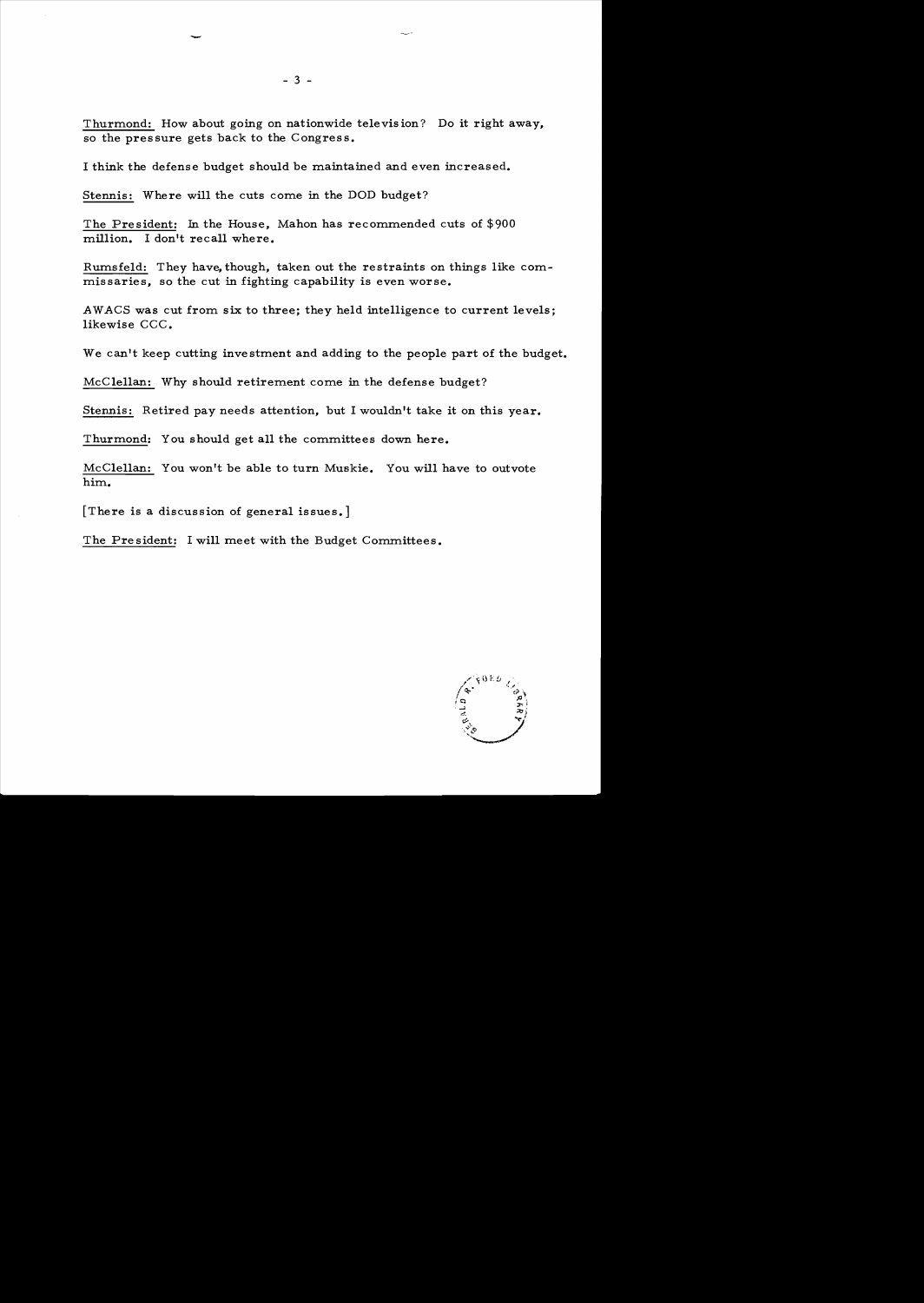Thurmond: How about going on nationwide televis ion? Do it right away, so the pressure gets back to the Congress.

I think the defense budget should be maintained and even increased.

Stennis: Where will the cuts come in the DOD budget?

The President: In the House, Mahon has recommended cuts of \$900 million. I don't recall where.

Rumsfeld: They have, though, taken out the restraints on things like commissaries, so the cut in fighting capability is even worse.

AWACS was cut from six to three; they held intelligence to current levels; likewise CCC.

We can't keep cutting investment and adding to the people part of the budget.

McClellan: Why should retirement come in the defense budget?

Stennis: Retired pay needs attention, but I wouldn't take it on this year.

Thurmond: You should get all the committees down here.

McClellan: You won't be able to turn Muskie. You will have to outvote him.

[There is a discussion of general issues.]

The President: I will meet with the Budget Committees.



- 3 -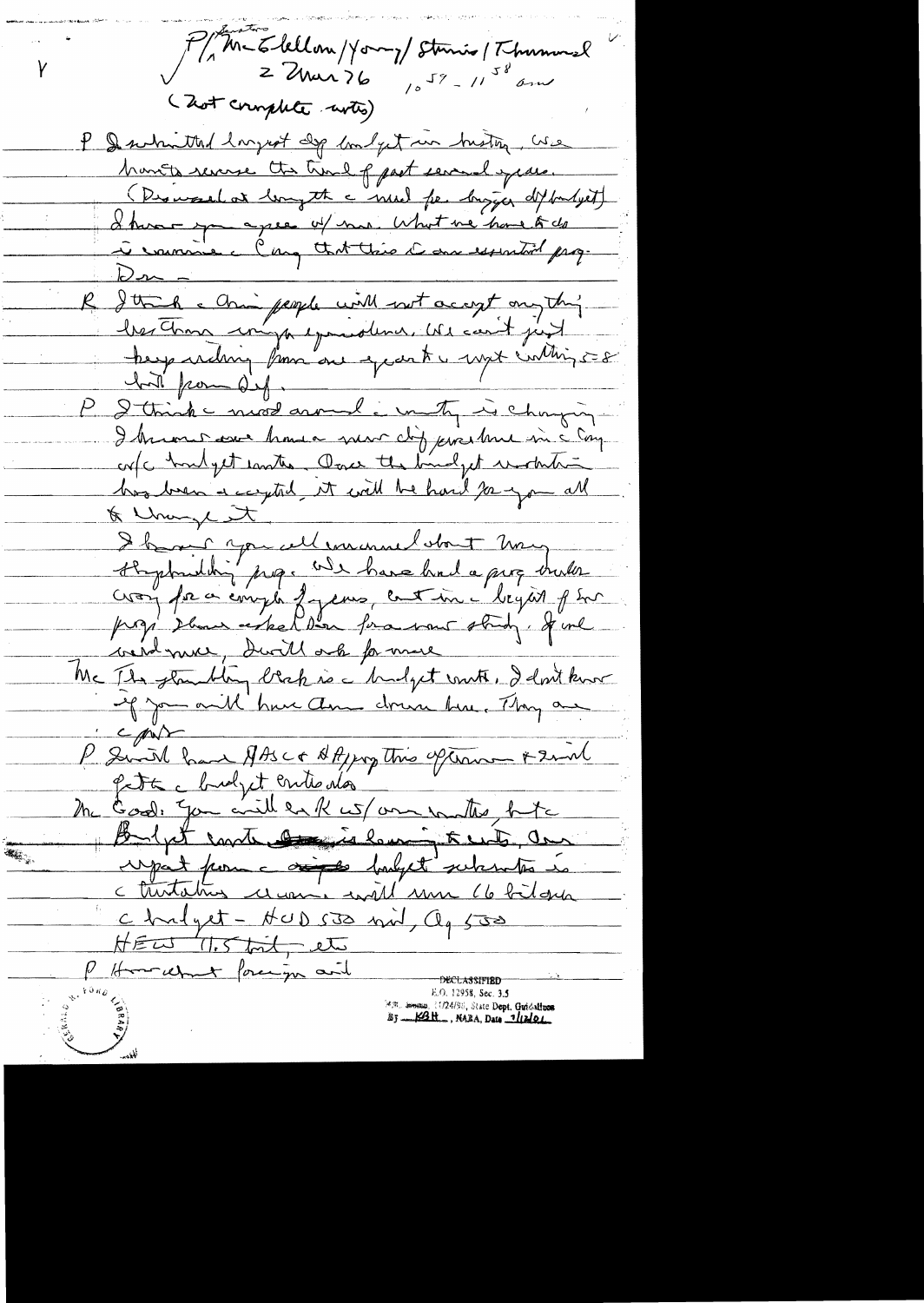P/M-Elellon/Your/Stanis/Thumond Y (Zot complete wites) P & swhmthad largest dip bondget un buston, We hants reverse the true of past several years. (Dismaselat length à mul fr. bigger dit but jet) I have you agree of no. What we have to do à courrie clang that this dans essential prop- $22 - 1$ Itte a chain people with not accept on the hat pour def. I think most around i musty is changing I known avec hours mor dig prochan in c com cofc houdget contre Ourse the bindget mother has been a captel it will be hard pay on all I have you cell encourant start many cron for a emplo f jeunes continue begans plus went me , don't ask for more Mc Ils glandly blak is a budget vont, I don't know of you and have down drawn have Thay are  $c$  pin P Swith have AASC+ AAppy this option + 2mm Pett chidyet entre da the Good, You will eark us/ one wanter butch Boyet contratt in leminated, and **R. .** upat pour compt payet subcontra is c turtatus ce uni will une 66 bilgua chalget - HUD 530 mil, Og 500 HEW 11.5 toil, etc P Homehant forcing and **DECLASSIFIED**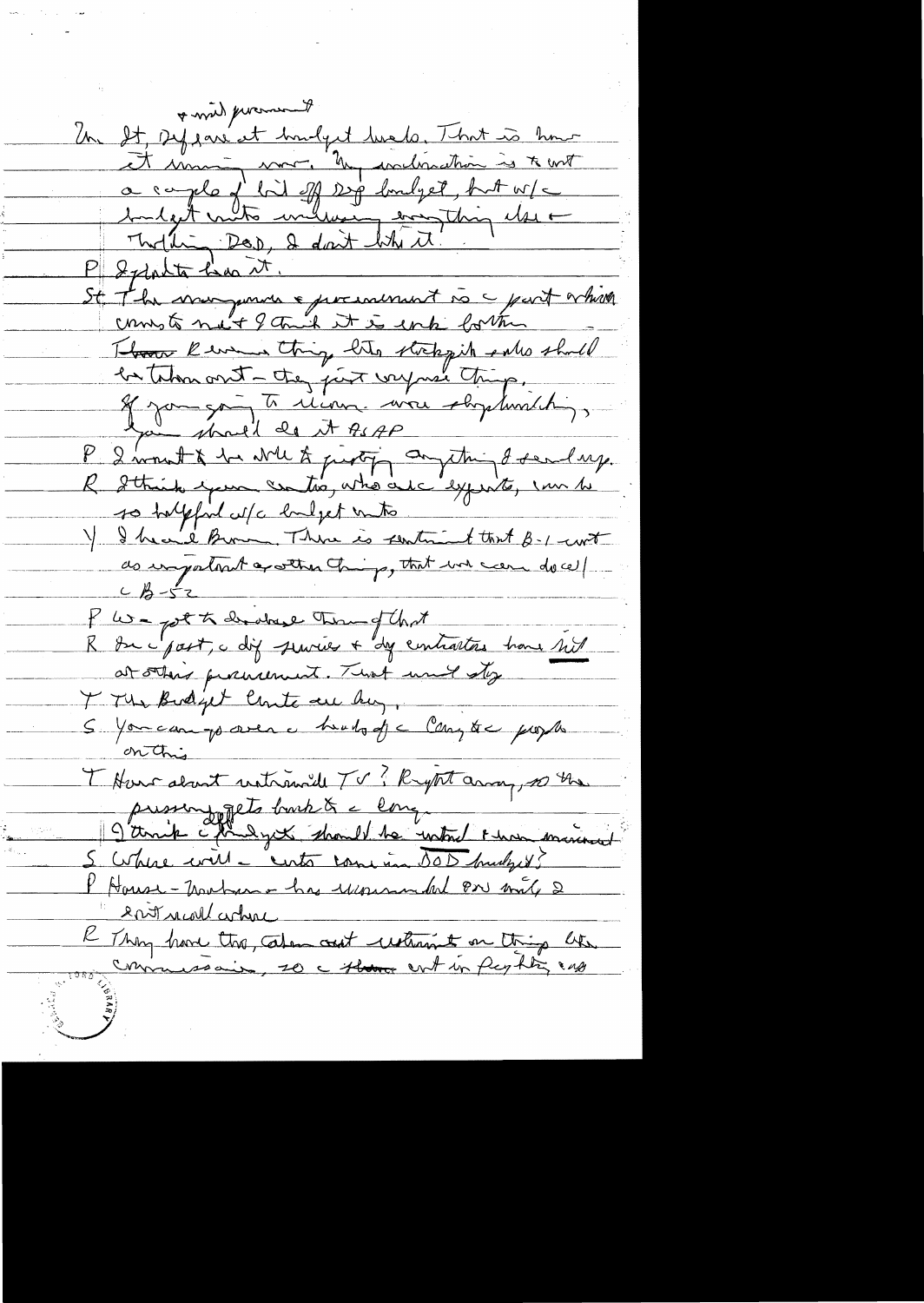of wind procurat Un It sysant et houdynt durche, That is hour<br>It some more by avalogation is to unt a caple of bid off sig londget, but w/c Moltin Dor, I don't behitt! P Sylphta has it. St The mongonine & presentant is a part which These Removes thing the storegit who should<br>be then out - they just very need thing,<br>If you go To clean, were shydwich;<br>I wount & he will to perty anything of senday.<br>R Sthink your contro, who are syout, can be so halpfind w/c hulpet unto Y I heard Brown, There is sentiment that B-1-curt do important apather change, that we can do cell P We post à derdrese terme of that at others procurement. That would stop I The Budget Coute are by. S You can go over a health of a Compte propos T Harrakant untremail TV ? Rytet array, 20 the pussinggets barb à comme de la fonction de la fonction de la fonction de la fonction de la fonction de la fonction de la fonction de la fonction de la fonction de la fonction de la fonction de la fonction de la fonction de P House-Martin has usemental Pre mile 2 entrevol cohre R Thing have the about what a thing like